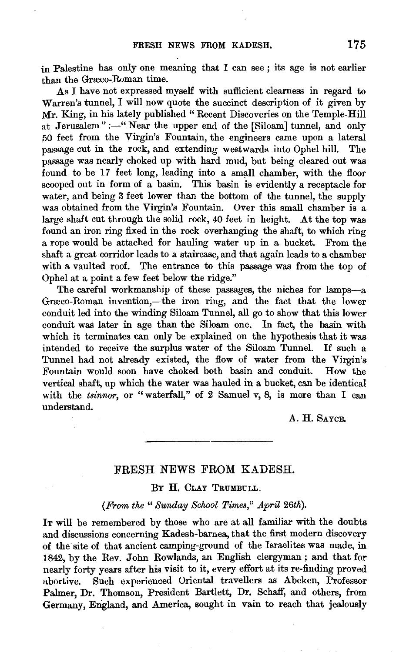in Palestine has only one meaning that I can see ; its age is not earlier than the Græco-Roman time.

As I have not expressed myself with sufficient clearness in regard to Warren's tunnel, I will now quote the succinct description of it given by Mr. King, in his lately published" Recent Discoveries on the Temple-Hill at Jerusalem":-" Near the upper end of the [Siloam] tunnel, and only .50 feet from the Virgin's Fountain, the engineers came upon a lateral passage cut in the rock, and extending westwards into Ophel hill. The passage was nearly choked up with hard mud, but being cleared out was found to be 17 feet long, leading into a small chamber, with the floor scooped out in form of a basin. This basin is evidently a receptacle for water, and being 3 feet lower than the bottom of the tunnel, the supply was obtained from the Virgin's Fountain. Over this small chamber is a large shaft cut through the solid rock, 40 feet in height. At the top was found an iron ring fixed in the rock overhanging the shaft, to which ring a rope would be attached for hauling water up in a bucket. From the shaft a great corridor leads to a staircase, and that again leads to a chamber with a vaulted roof. The entrance to this passage was from the top of Ophel at a point a few feet below the ridge."

The careful workmanship of these passages, the niches for lamps-a Græco-Roman invention,—the iron ring, and the fact that the lower conduit led into the winding Siloam Tunnel, all go to show that this lower conduit was later in age than the Siloam one. In fact, the basin with which it terminates can only be explained on the hypothesis that it was intended to receive the surplus water of the Siloam Tunnel. If such a Tunnel had not already existed, the flow of water from the Virgin's Fountain would soon have choked both basin and conduit. How the vertical shaft, up which the water was hauled in a bucket, can be identical with the *tsinnor*, or "waterfall," of 2 Samuel v, 8, is more than I can understand.

A. H. SAYCE.

# FRESH NEWS FROM KADESH.

### BY H. CLAY TRUMBULL.

#### *(From the" Sunday Sclwol Times," April 26th).*

IT will be remembered by those who are at all familiar with the doubts and discussions conceming Kadesh-barnea, that the first modern discovery of the site of that ancient camping-ground of the Israelites was made, in 1842, by the Rev. John Rowlands, an English clergyman; and that for nearly forty years after his visit to it, every effort at its re-finding proved abortive. Such experienced Oriental travellers as Abeken, Professor Palmer, Dr. Thomson, President Bartlett, Dr. Schaff, and others, from Germany, England, and America, sought in vain to reach that jealously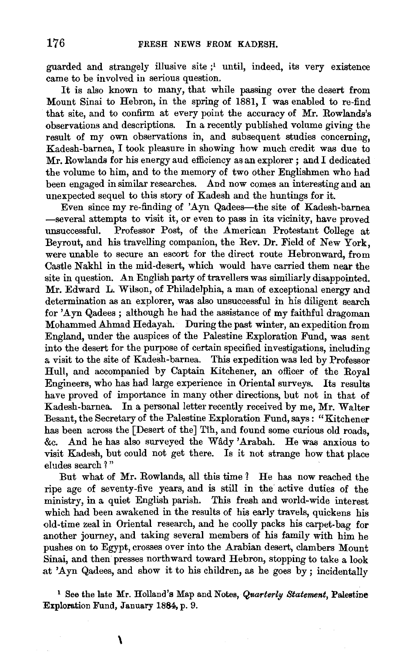guarded and strangely illusive site ;1 until, indeed, its very existence came to be involved in serious question.

It is also known to many, that while passing over the desert from Mount Sinai to Hebron, in the spring of 1881,  $\overline{I}$  was enabled to re-find that site, and to confirm at every point the accuracy of Mr. Rowlands's observations and descriptions. In a recently published volume giving the result of my own observations in, and subsequent studies concerning, Kadesh-barnea, I took pleasure in showing how much credit was due to Mr. Rowlands for his energy aud efficiency as an explorer ; and I dedicated the volume to him, and to the memory of two other Englishmen who had been engaged in similar researches. And now comes an interesting and an unexpected sequel to this story of Kadesh and the buntings for it.

Even since my re-finding of 'Ayn Qadees-the site of Kadesh-barnea -several attempts to visit it, or even to pass in its vicinity, have proved Professor Post, of the American Protestant College at Beyrout, and his travelling companion, the Rev. Dr. Field of New York, were unable to secure an escort for the direct route Hebronward, from Castle Nakhl in the mid-desert, which would have carried them near the site in question. An English party of travellers was similiarly disappointed. Mr. Edward L. Wilson, of Philadelphia, a man of exceptional energy and determination as an explorer, was also unsuccessful in his diligent search for 'Ayn Qadees ; although he had the assistance of my faithful dragoman Mohammed Ahmad Hedayah. During the past winter, an expedition from England, under the auspices of the Palestine Exploration Fund, was sent into the desert for the purpose of certain specified investigations, including a visit to the site of Kadesh-barnea. This expedition was led by Professor Hull, and accompanied by Captain Kitchener, an officer of the Royal Engineers, who has had large experience in Oriental surveys. Its results have proved of importance in many other directions, but not in that of Kadesh-barnea. In a personal letter recently received by me, Mr. Walter Besant, the Secretary of the Palestine Exploration Fund, says: "Kitchener has been across the [Desert of the] T<sub>i</sub>h, and found some curious old roads, &c. And he has also surveyed the Wâdy 'Arabah. He was anxious to visit Kadesh, but could not get there. Is it not strange how that place eludes search?"

But what of Mr. Rowlands, all this time? He has now reached the ripe age of seventy-five years, and is still in the active duties of the ministry, in a quiet English parish. This fresh and world-wide interest which had been awakened in the results of his early travels, quickens his old-time zeal in Oriental research, and he coolly packs his carpet-bag for another journey, and taking several members of his family with him he pushes on to Egypt, crosses over into the Arabian desert, clambers Mount Sinai, and then presses northward toward Hebron, stopping to take a look at 'Ayn Qadees, and show it to his children, as he goes by; incidentally

<sup>1</sup> See the late Mr. Holland's Map and Notes, *Quarterly Statement*, Palestine Exploration Fund, January 1884, p. 9.

\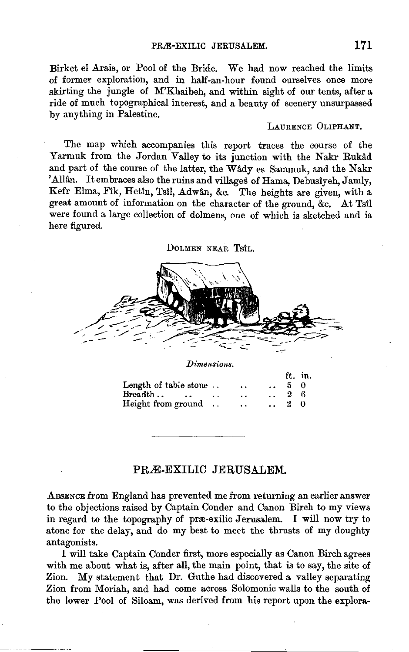Birket el Arais, or Pool of the Bride. We had now reached the limits of former exploration, and in half-an-hour found ourselves once more skirting the jungle of M'Khaibeh, and within sight of our tents, after a ride of much topographical interest, and a beauty of scenery unsurpassed by anything in Palestine.

#### LAURENCE 0LIPHANT.

The map which accompanies this report traces the course of the Yarmuk from the Jordan Valley to its junction with the Nakr Rukâd and part of the course of the latter, the WAdy es Sammuk, and the Nakr 'Allân. It embraces also the ruins and villages of Hama, Debusiyeh, Jamly, Kefr Elma, Fik, Hetin, Tsil, Adwân, &c. The heights are given, with a great amount of information on the character of the ground, &c. At TsU were found a large collection of dolmens, one of which is sketched and is here figured.

DOLMEN NEAR TsiL.



 $D$ *imensions.* 

|                             |     |                      | ft. in. |  |
|-----------------------------|-----|----------------------|---------|--|
| Length of table stone       | . . | $\ddot{\phantom{a}}$ | 50      |  |
| Breadth<br>$\cdot$ .        | . . | $\ldots$ 2 6         |         |  |
| Height from ground $\ldots$ | . . | $\ddotsc$            | 20      |  |

## PRÆ-EXILIC JERUSALEM.

ABSENCE from England has prevented me from returning an earlier answer to the objections raised by Captain Conder and Canon Birch to my views in regard to the topography of præ-exilic Jerusalem. I will now try to atone for the delay, and do my best to meet the thrusts of my doughty antagonists.

I will take Captain Conder first, more especially as Canon Birch agrees with me about what is, after all, the main point, that is to say, the site of Zion. My statement that Dr. Gnthe had discovered a valley separating Zion from Moriah, and had come across Solomonic walls to the south of the lower Pool of Siloam, was derived from his report upon the explora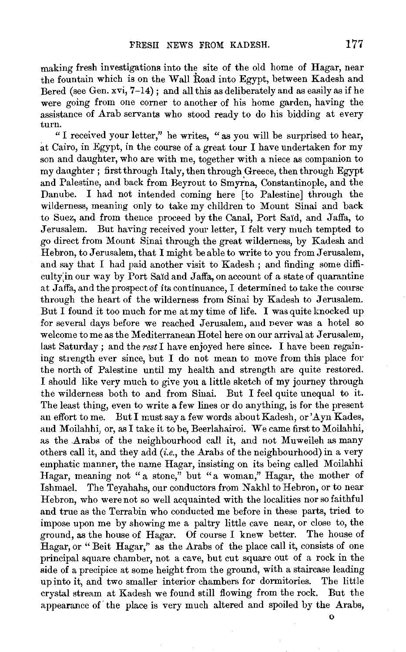making fresh investigations into the site of the old home of Hagar, near the fountain which is on the Wall Road into Egypt, between Kadesh and Bered (see Gen.  $xvi$ ,  $7-14$ ); and all this as deliberately and as easily as if he were going from one corner to another of his home garden, having the assistance of Arab servants who stood ready to do his bidding at every turn.

"I received your letter," he writes, "as you will be surprised to hear, at Cairo, in Egypt, in the course of a great tour I have undertaken for my son and daughter, who are with me, together with a niece as companion to my daughter ; first through Italy, then through Greece, then through Egypt and Palestine, and back from Beyrout to Smyrna, Constantinople, and the Danube. I had not intended coming here [to Palestine] through the wilderness, meaning only to take my children to Mount Sinai and back to Suez, and from thence proceed by the Canal, Port Sa1d, and Jaffa, to Jerusalem. But having received your letter, I felt very much tempted to go direct from Mount Sinai through the great wilderness, by Kadesh and Hebron, to Jerusalem, that I might be able to write to you from Jerusalem, and say that I had paid another visit to Kadesh ; and finding some difficulty; in our way by Port Said and Jaffa, on account of a state of quarantine at Jaffa, and the prospect of its continuance, I determined to take the course through the heart of the wilderness from Sinai by Kadesh to Jerusalem. But I found it too much for me at my time of life. I was quite knocked up for several days before we reached Jerusalem, and never was a hotel so welcome to me as the Mediterranean Hotel here on our arrival at Jerusalem, last Saturday ; and the *rest* I have enjoyed here since. I have been regaining strength ever since, but I do not mean to move from this place for the north of Palestine until my health and strength are quite restored. I should like very much to give you a little sketch of my journey through the wilderness both to and from Sinai. But I feel quite unequal to it. The least thing, even to write a few lines or do anything, is for the present an effort to me. But I must say a few words about Kadesh, or 'Ayn Kades, and Moilahhi, or, as I take it to be, Beerlahairoi. We came first to Moilahhi, as the Arabs of the neighbourhood call it, and not Muweileh as many others call it, and they add *(i.e., the Arabs of the neighbourhood)* in a very emphatic manner, the name Hagar, insisting on its being called Moilahhi Hagar, meaning not " a stone," but "a woman," Hagar, the mother of Ishmael. The Teyahahs, our conductors from Nakhl to Hebron, or to near Hebron, who were not so well acquainted with the localities nor so faithful and true as the Terrabin who conducted me before in these parts, tried to impose upon me by showing me a paltry little cave near, or close to, the ground, as the house of Hagar. Of course I knew better. The house of Hagar, or " Beit Hagar," as the Arabs of the place call it, consists of one principal square chamber, not a cave, but cut square out of a rock in the side of a precipice at some height from the ground, with a staircase leading up into it, and two smaller interior chambers for dormitories. The little crystal stream at Kadesh we found still flowing from the rock. But the appearance of the place is very much altered and spoiled by the Arabs,